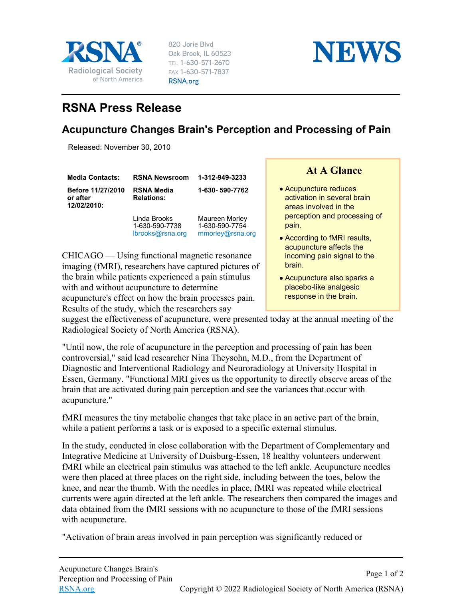

820 Jorie Blvd Oak Brook, IL 60523 TEL 1-630-571-2670 FAX 1-630-571-7837 RSNA.org



## **RSNA Press Release**

## **Acupuncture Changes Brain's Perception and Processing of Pain**

Released: November 30, 2010

| <b>Media Contacts:</b>                       | <b>RSNA Newsroom</b>                               | 1-312-949-3233                                       | <b>At A Glance</b>                                                                                                                                                                |
|----------------------------------------------|----------------------------------------------------|------------------------------------------------------|-----------------------------------------------------------------------------------------------------------------------------------------------------------------------------------|
| Before 11/27/2010<br>or after<br>12/02/2010: | <b>RSNA Media</b><br><b>Relations:</b>             | 1-630-590-7762                                       | • Acupuncture reduces<br>activation in several brain<br>areas involved in the<br>perception and processing of<br>pain.<br>• According to fMRI results,<br>acupuncture affects the |
|                                              | Linda Brooks<br>1-630-590-7738<br>lbrooks@rsna.org | Maureen Morley<br>1-630-590-7754<br>mmorley@rsna.org |                                                                                                                                                                                   |

CHICAGO — Using functional magnetic resonance imaging (fMRI), researchers have captured pictures of the brain while patients experienced a pain stimulus with and without acupuncture to determine acupuncture's effect on how the brain processes pain. Results of the study, which the researchers say

## **At A Glance**

- acupuncture affects the incoming pain signal to the brain.
- Acupuncture also sparks a placebo-like analgesic response in the brain.

suggest the effectiveness of acupuncture, were presented today at the annual meeting of the Radiological Society of North America (RSNA).

"Until now, the role of acupuncture in the perception and processing of pain has been controversial," said lead researcher Nina Theysohn, M.D., from the Department of Diagnostic and Interventional Radiology and Neuroradiology at University Hospital in Essen, Germany. "Functional MRI gives us the opportunity to directly observe areas of the brain that are activated during pain perception and see the variances that occur with acupuncture."

fMRI measures the tiny metabolic changes that take place in an active part of the brain, while a patient performs a task or is exposed to a specific external stimulus.

In the study, conducted in close collaboration with the Department of Complementary and Integrative Medicine at University of Duisburg-Essen, 18 healthy volunteers underwent fMRI while an electrical pain stimulus was attached to the left ankle. Acupuncture needles were then placed at three places on the right side, including between the toes, below the knee, and near the thumb. With the needles in place, fMRI was repeated while electrical currents were again directed at the left ankle. The researchers then compared the images and data obtained from the fMRI sessions with no acupuncture to those of the fMRI sessions with acupuncture.

"Activation of brain areas involved in pain perception was significantly reduced or